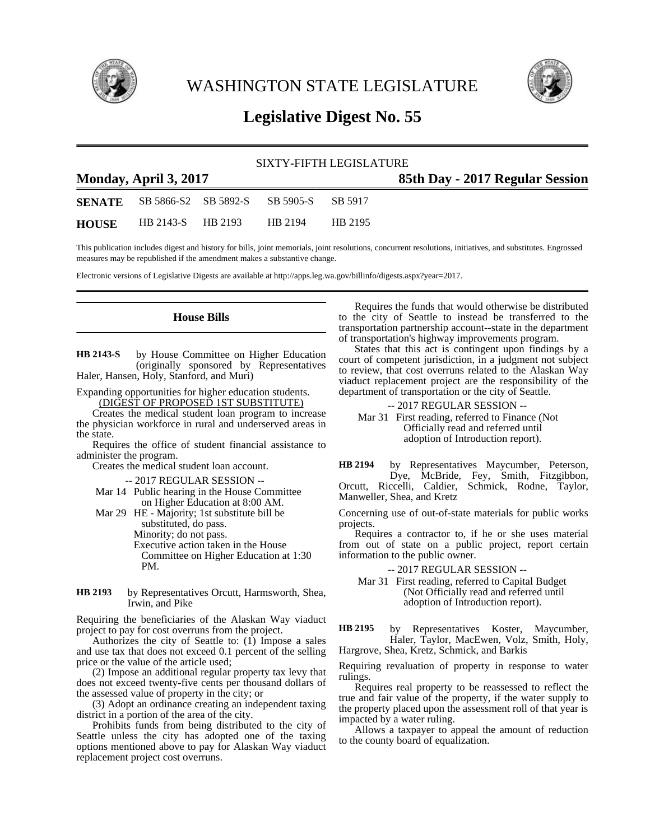

WASHINGTON STATE LEGISLATURE



## **Legislative Digest No. 55**

## SIXTY-FIFTH LEGISLATURE **Monday, April 3, 2017 85th Day - 2017 Regular Session SENATE** SB 5866-S2 SB 5892-S SB 5905-S SB 5917 **HOUSE** HB 2143-S HB 2193 HB 2194 HB 2195

This publication includes digest and history for bills, joint memorials, joint resolutions, concurrent resolutions, initiatives, and substitutes. Engrossed measures may be republished if the amendment makes a substantive change.

Electronic versions of Legislative Digests are available at http://apps.leg.wa.gov/billinfo/digests.aspx?year=2017.

## **House Bills**

by House Committee on Higher Education (originally sponsored by Representatives Haler, Hansen, Holy, Stanford, and Muri) **HB 2143-S**

Expanding opportunities for higher education students. (DIGEST OF PROPOSED 1ST SUBSTITUTE)

Creates the medical student loan program to increase the physician workforce in rural and underserved areas in the state.

Requires the office of student financial assistance to administer the program.

Creates the medical student loan account.

-- 2017 REGULAR SESSION --

Mar 14 Public hearing in the House Committee on Higher Education at 8:00 AM.

Mar 29 HE - Majority; 1st substitute bill be substituted, do pass. Minority; do not pass. Executive action taken in the House Committee on Higher Education at 1:30 PM.

by Representatives Orcutt, Harmsworth, Shea, Irwin, and Pike **HB 2193**

Requiring the beneficiaries of the Alaskan Way viaduct project to pay for cost overruns from the project.

Authorizes the city of Seattle to:  $(1)$  Impose a sales and use tax that does not exceed 0.1 percent of the selling price or the value of the article used;

(2) Impose an additional regular property tax levy that does not exceed twenty-five cents per thousand dollars of the assessed value of property in the city; or

(3) Adopt an ordinance creating an independent taxing district in a portion of the area of the city.

Prohibits funds from being distributed to the city of Seattle unless the city has adopted one of the taxing options mentioned above to pay for Alaskan Way viaduct replacement project cost overruns.

Requires the funds that would otherwise be distributed to the city of Seattle to instead be transferred to the transportation partnership account--state in the department of transportation's highway improvements program.

States that this act is contingent upon findings by a court of competent jurisdiction, in a judgment not subject to review, that cost overruns related to the Alaskan Way viaduct replacement project are the responsibility of the department of transportation or the city of Seattle.

-- 2017 REGULAR SESSION -- Mar 31 First reading, referred to Finance (Not Officially read and referred until adoption of Introduction report).

by Representatives Maycumber, Peterson, Dye, McBride, Fey, Smith, Fitzgibbon, Orcutt, Riccelli, Caldier, Schmick, Rodne, Taylor, Manweller, Shea, and Kretz **HB 2194**

Concerning use of out-of-state materials for public works projects.

Requires a contractor to, if he or she uses material from out of state on a public project, report certain information to the public owner.

-- 2017 REGULAR SESSION --

Mar 31 First reading, referred to Capital Budget (Not Officially read and referred until adoption of Introduction report).

by Representatives Koster, Maycumber, Haler, Taylor, MacEwen, Volz, Smith, Holy, Hargrove, Shea, Kretz, Schmick, and Barkis **HB 2195**

Requiring revaluation of property in response to water rulings.

Requires real property to be reassessed to reflect the true and fair value of the property, if the water supply to the property placed upon the assessment roll of that year is impacted by a water ruling.

Allows a taxpayer to appeal the amount of reduction to the county board of equalization.